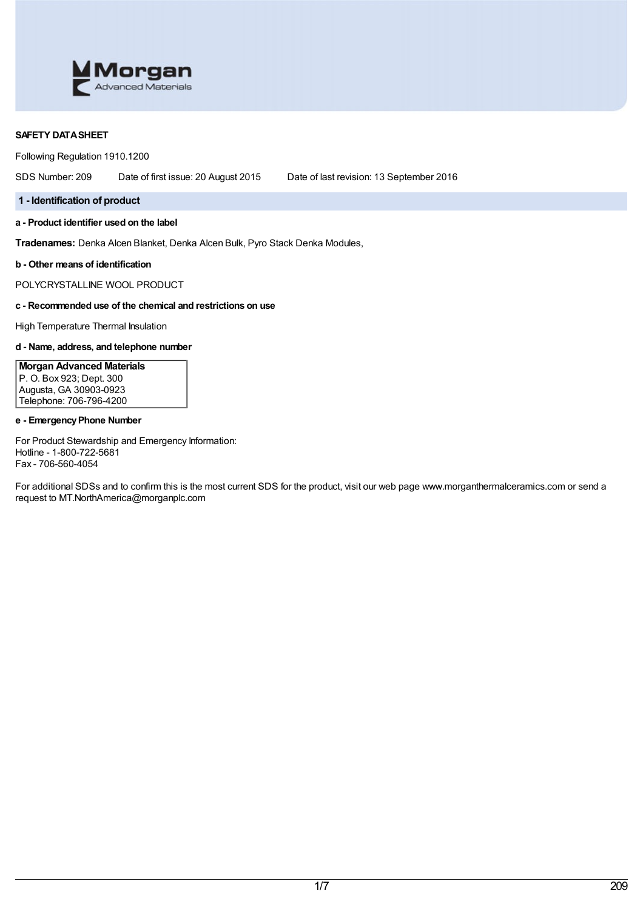

## **SAFETY DATASHEET**

Following Regulation 1910.1200

SDS Number: 209 Date of first issue: 20 August 2015 Date of last revision: 13 September 2016

### **1 - Identification of product**

**a - Product identifier used on the label**

**Tradenames:** Denka Alcen Blanket, Denka Alcen Bulk, Pyro Stack Denka Modules,

**b - Other means of identification**

POLYCRYSTALLINE WOOL PRODUCT

### **c - Recommended use of the chemical and restrictions on use**

High Temperature Thermal Insulation

# **d - Name, address, and telephone number**

**Morgan Advanced Materials** P. O. Box 923; Dept. 300 Augusta, GA 30903-0923 Telephone: 706-796-4200

# **e - EmergencyPhone Number**

For Product Stewardship and Emergency Information: Hotline - 1-800-722-5681 Fax - 706-560-4054

For additional SDSs and to confirm this is the most current SDS for the product, visit our web page www.morganthermalceramics.com or send a request to MT.NorthAmerica@morganplc.com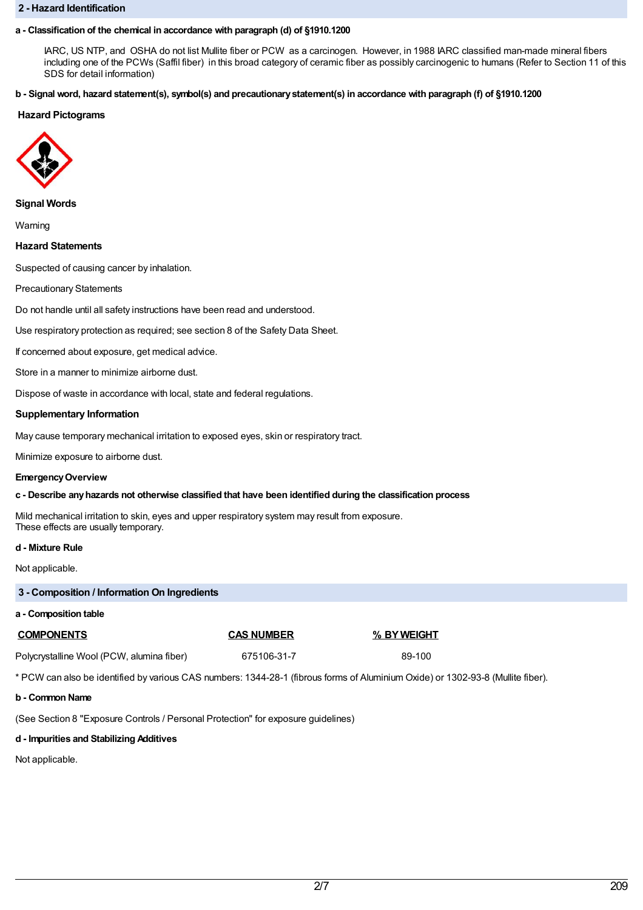#### **2 - Hazard Identification**

## **a - Classification of the chemical in accordance with paragraph (d) of §1910.1200**

IARC, US NTP, and OSHA do not list Mullite fiber or PCW as a carcinogen. However, in 1988 IARC classified man-made mineral fibers including one of the PCWs (Saffil fiber) in this broad category of ceramic fiber as possibly carcinogenic to humans (Refer to Section 11 of this SDS for detail information)

### b - Signal word, hazard statement(s), symbol(s) and precautionary statement(s) in accordance with paragraph (f) of §1910.1200

## **Hazard Pictograms**



### **Signal Words**

Warning

**Hazard Statements**

Suspected of causing cancer by inhalation.

Precautionary Statements

Do not handle until all safety instructions have been read and understood.

Use respiratory protection as required; see section 8 of the Safety Data Sheet.

If concerned about exposure, get medical advice.

Store in a manner to minimize airborne dust.

Dispose of waste in accordance with local, state and federal regulations.

### **Supplementary Information**

May cause temporary mechanical irritation to exposed eyes, skin or respiratory tract.

Minimize exposure to airborne dust.

### **EmergencyOverview**

### **c - Describe anyhazards not otherwise classified that have been identified during the classification process**

Mild mechanical irritation to skin, eyes and upper respiratory system may result from exposure. These effects are usually temporary.

### **d - Mixture Rule**

Not applicable.

| 3 - Composition / Information On Ingredients                                                                                    |                   |             |  |  |  |
|---------------------------------------------------------------------------------------------------------------------------------|-------------------|-------------|--|--|--|
| a - Composition table                                                                                                           |                   |             |  |  |  |
| <b>COMPONENTS</b>                                                                                                               | <b>CAS NUMBER</b> | % BY WEIGHT |  |  |  |
| Polycrystalline Wool (PCW, alumina fiber)                                                                                       | 675106-31-7       | 89-100      |  |  |  |
| * PCW can also be identified by various CAS numbers: 1344-28-1 (fibrous forms of Aluminium Oxide) or 1302-93-8 (Mullite fiber). |                   |             |  |  |  |

### **b - Common Name**

(See Section 8 "Exposure Controls / Personal Protection" for exposure guidelines)

# **d - Impurities and Stabilizing Additives**

Not applicable.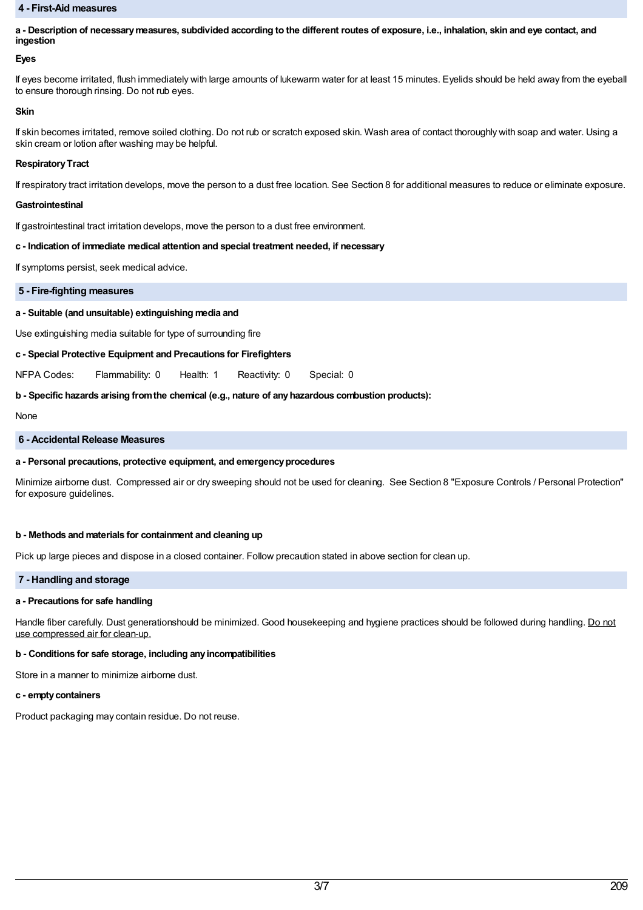#### **4 - First-Aid measures**

a - Description of necessary measures, subdivided according to the different routes of exposure, i.e., inhalation, skin and eye contact, and **ingestion**

### **Eyes**

If eyes become irritated, flush immediately with large amounts of lukewarm water for at least 15 minutes. Eyelids should be held away from the eyeball to ensure thorough rinsing. Do not rub eyes.

#### **Skin**

If skin becomes irritated, remove soiled clothing. Do not rub or scratch exposed skin. Wash area of contact thoroughly with soap and water. Using a skin cream or lotion after washing may be helpful.

#### **Respiratory Tract**

If respiratory tract irritation develops, move the person to a dust free location. See Section 8 for additional measures to reduce or eliminate exposure.

#### **Gastrointestinal**

If gastrointestinal tract irritation develops, move the person to a dust free environment.

### **c - Indication of immediate medical attention and special treatment needed, if necessary**

If symptoms persist, seek medical advice.

#### **5 - Fire-fighting measures**

### **a - Suitable (and unsuitable) extinguishing media and**

Use extinguishing media suitable for type of surrounding fire

### **c - Special Protective Equipment and Precautions for Firefighters**

NFPA Codes: Flammability: 0 Health: 1 Reactivity: 0 Special: 0

### **b - Specific hazards arising fromthe chemical (e.g., nature of anyhazardous combustion products):**

None

### **6 - Accidental Release Measures**

### **a - Personal precautions, protective equipment, and emergencyprocedures**

Minimize airborne dust. Compressed air or dry sweeping should not be used for cleaning. See Section 8 "Exposure Controls / Personal Protection" for exposure guidelines.

### **b - Methods and materials for containment and cleaning up**

Pick up large pieces and dispose in a closed container. Follow precaution stated in above section for clean up.

### **7 - Handling and storage**

### **a - Precautions for safe handling**

Handle fiber carefully. Dust generationshould be minimized. Good housekeeping and hygiene practices should be followed during handling. Do not use compressed air for clean-up.

### **b - Conditions for safe storage, including anyincompatibilities**

Store in a manner to minimize airborne dust.

### **c - emptycontainers**

Product packaging may contain residue. Do not reuse.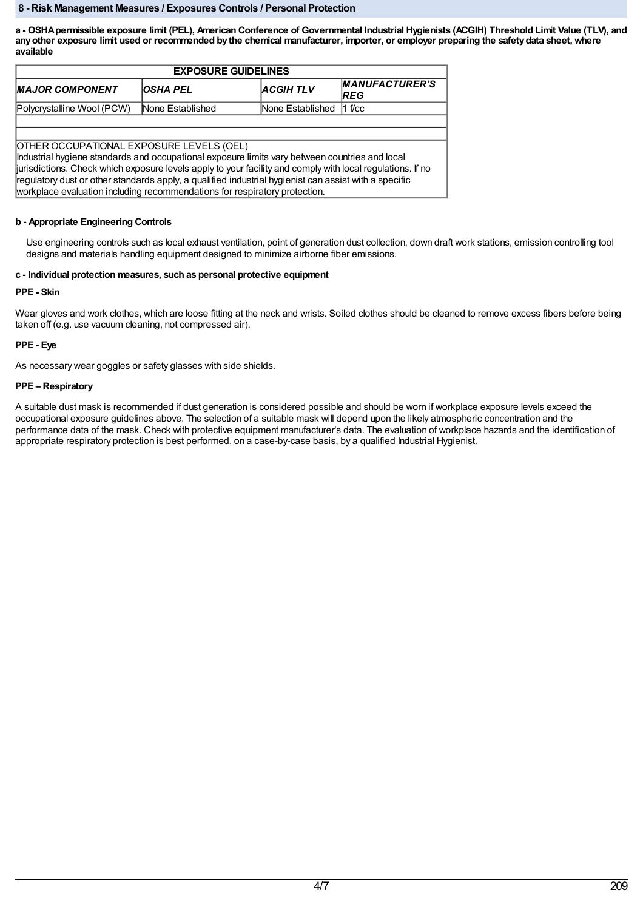### **8 - Risk Management Measures / Exposures Controls / Personal Protection**

a - OSHA permissible exposure limit (PEL), American Conference of Governmental Industrial Hygienists (ACGIH) Threshold Limit Value (TLV), and any other exposure limit used or recommended by the chemical manufacturer, importer, or employer preparing the safety data sheet, where **available**

| <b>EXPOSURE GUIDELINES</b>                                                                                                                                                                                                                                                                                                                                                                                                                      |                  |                  |                                      |  |  |
|-------------------------------------------------------------------------------------------------------------------------------------------------------------------------------------------------------------------------------------------------------------------------------------------------------------------------------------------------------------------------------------------------------------------------------------------------|------------------|------------------|--------------------------------------|--|--|
| <b>MAJOR COMPONENT</b>                                                                                                                                                                                                                                                                                                                                                                                                                          | IOSHA PEL        | <b>ACGIH TLV</b> | <b>MANUFACTURER'S</b><br><b>IREG</b> |  |  |
| Polycrystalline Wool (PCW)                                                                                                                                                                                                                                                                                                                                                                                                                      | None Established | None Established | $1$ f/cc                             |  |  |
|                                                                                                                                                                                                                                                                                                                                                                                                                                                 |                  |                  |                                      |  |  |
|                                                                                                                                                                                                                                                                                                                                                                                                                                                 |                  |                  |                                      |  |  |
| OTHER OCCUPATIONAL EXPOSURE LEVELS (OEL)<br>Industrial hygiene standards and occupational exposure limits vary between countries and local<br>jurisdictions. Check which exposure levels apply to your facility and comply with local regulations. If no<br>regulatory dust or other standards apply, a qualified industrial hygienist can assist with a specific<br>workplace evaluation including recommendations for respiratory protection. |                  |                  |                                      |  |  |

# **b - Appropriate Engineering Controls**

Use engineering controls such as local exhaust ventilation, point of generation dust collection, down draft work stations, emission controlling tool designs and materials handling equipment designed to minimize airborne fiber emissions.

# **c - Individual protection measures, such as personal protective equipment**

# **PPE - Skin**

Wear gloves and work clothes, which are loose fitting at the neck and wrists. Soiled clothes should be cleaned to remove excess fibers before being taken off (e.g. use vacuum cleaning, not compressed air).

# **PPE - Eye**

As necessary wear goggles or safety glasses with side shields.

# **PPE – Respiratory**

A suitable dust mask is recommended if dust generation is considered possible and should be worn if workplace exposure levels exceed the occupational exposure guidelines above. The selection of a suitable mask will depend upon the likely atmospheric concentration and the performance data of the mask. Check with protective equipment manufacturer's data. The evaluation of workplace hazards and the identification of appropriate respiratory protection is best performed, on a case-by-case basis, by a qualified Industrial Hygienist.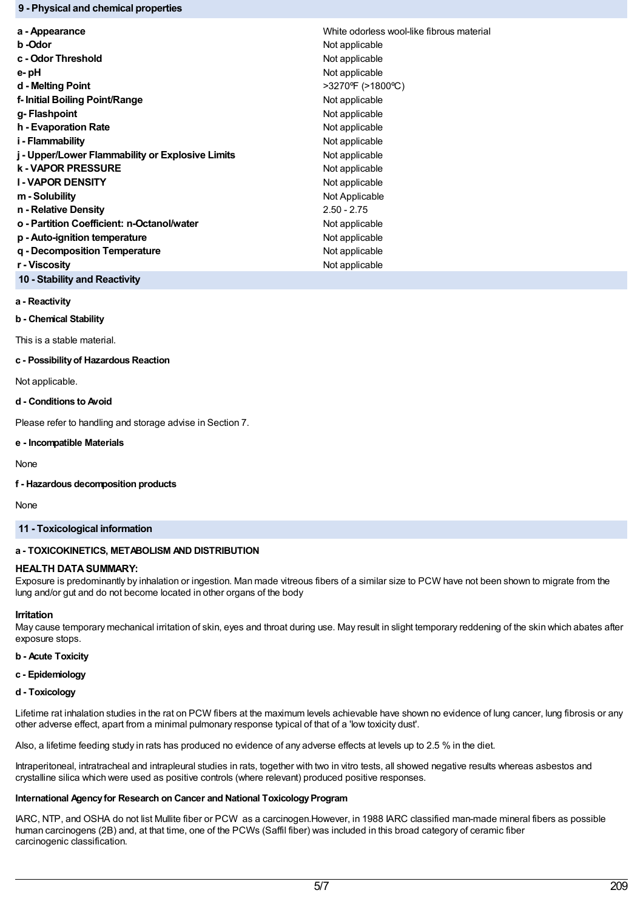### **9 - Physical and chemical properties**

| a - Appearance                                   | White odorless wool-like fibrous material |
|--------------------------------------------------|-------------------------------------------|
| b -Odor                                          | Not applicable                            |
| c - Odor Threshold                               | Not applicable                            |
| e-pH                                             | Not applicable                            |
| d - Melting Point                                | >3270°F (>1800°C)                         |
| f-Initial Boiling Point/Range                    | Not applicable                            |
| g-Flashpoint                                     | Not applicable                            |
| h - Evaporation Rate                             | Not applicable                            |
| i - Flammability                                 | Not applicable                            |
| j - Upper/Lower Flammability or Explosive Limits | Not applicable                            |
| <b>k-VAPOR PRESSURE</b>                          | Not applicable                            |
| <b>I-VAPOR DENSITY</b>                           | Not applicable                            |
| m - Solubility                                   | Not Applicable                            |
| n - Relative Density                             | $2.50 - 2.75$                             |
| o - Partition Coefficient: n-Octanol/water       | Not applicable                            |
| p - Auto-ignition temperature                    | Not applicable                            |
| q - Decomposition Temperature                    | Not applicable                            |
| r - Viscosity                                    | Not applicable                            |
|                                                  |                                           |

**10 - Stability and Reactivity**

## **a - Reactivity**

**b - Chemical Stability**

This is a stable material.

#### **c - Possibilityof Hazardous Reaction**

Not applicable.

### **d - Conditions to Avoid**

Please refer to handling and storage advise in Section 7.

### **e - Incompatible Materials**

None

### **f - Hazardous decomposition products**

None

## **11 - Toxicological information**

### **a - TOXICOKINETICS, METABOLISM AND DISTRIBUTION**

### **HEALTH DATA SUMMARY:**

Exposure is predominantly by inhalation or ingestion. Man made vitreous fibers of a similar size to PCW have not been shown to migrate from the lung and/or gut and do not become located in other organs of the body

### **Irritation**

May cause temporary mechanical irritation of skin, eyes and throat during use. May result in slight temporary reddening of the skin which abates after exposure stops.

## **b - Acute Toxicity**

## **c - Epidemiology**

## **d - Toxicology**

Lifetime rat inhalation studies in the rat on PCW fibers at the maximum levels achievable have shown no evidence of lung cancer, lung fibrosis or any other adverse effect, apart from a minimal pulmonary response typical of that of a 'low toxicity dust'.

Also, a lifetime feeding study in rats has produced no evidence of any adverse effects at levels up to 2.5 % in the diet.

Intraperitoneal, intratracheal and intrapleural studies in rats, together with two in vitro tests, all showed negative results whereas asbestos and crystalline silica which were used as positive controls (where relevant) produced positive responses.

# **International Agencyfor Research on Cancer and National ToxicologyProgram**

IARC, NTP, and OSHA do not list Mullite fiber or PCW as a carcinogen.However, in 1988 IARC classified man-made mineral fibers as possible human carcinogens (2B) and, at that time, one of the PCWs (Saffil fiber) was included in this broad category of ceramic fiber carcinogenic classification.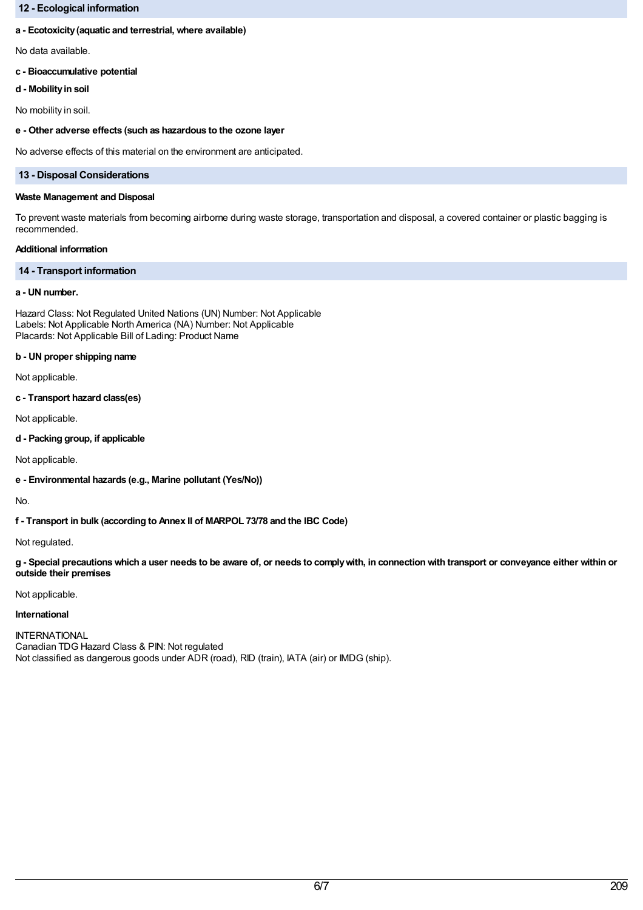## **12 - Ecological information**

### **a - Ecotoxicity(aquatic and terrestrial, where available)**

No data available.

## **c - Bioaccumulative potential**

**d - Mobilityin soil**

No mobility in soil.

### **e - Other adverse effects (such as hazardous to the ozone layer**

No adverse effects of this material on the environment are anticipated.

### **13 - Disposal Considerations**

#### **Waste Management and Disposal**

To prevent waste materials from becoming airborne during waste storage, transportation and disposal, a covered container or plastic bagging is recommended.

## **Additional information**

## **14 - Transport information**

# **a - UN number.**

Hazard Class: Not Regulated United Nations (UN) Number: Not Applicable Labels: Not Applicable North America (NA) Number: Not Applicable Placards: Not Applicable Bill of Lading: Product Name

### **b - UN proper shipping name**

Not applicable.

**c - Transport hazard class(es)**

Not applicable.

**d - Packing group, if applicable**

Not applicable.

**e - Environmental hazards (e.g., Marine pollutant (Yes/No))**

No.

**f - Transport in bulk (according to Annex II of MARPOL 73/78 and the IBC Code)**

Not regulated.

g - Special precautions which a user needs to be aware of, or needs to comply with, in connection with transport or conveyance either within or **outside their premises**

Not applicable.

### **International**

INTERNATIONAL Canadian TDG Hazard Class & PIN: Not regulated Not classified as dangerous goods under ADR (road), RID (train), IATA (air) or IMDG (ship).